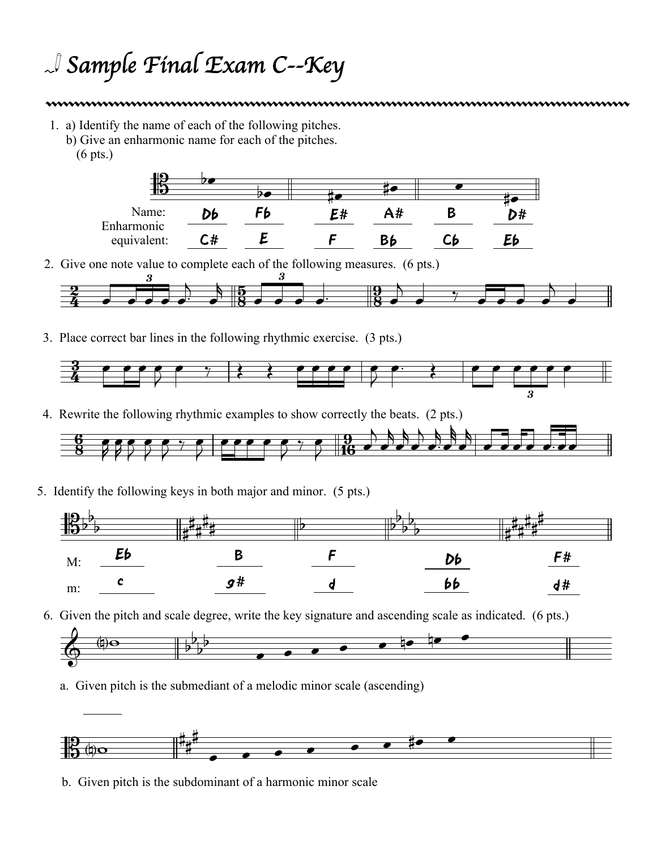## *Sample Final Exam C--Key*

1. a) Identify the name of each of the following pitches. b) Give an enharmonic name for each of the pitches. (6 pts.)



2. Give one note value to complete each of the following measures. (6 pts.)



3. Place correct bar lines in the following rhythmic exercise. (3 pts.)



4. Rewrite the following rhythmic examples to show correctly the beats. (2 pts.)



5. Identify the following keys in both major and minor. (5 pts.)



6. Given the pitch and scale degree, write the key signature and ascending scale as indicated. (6 pts.)



a. Given pitch is the submediant of a melodic minor scale (ascending)



b. Given pitch is the subdominant of a harmonic minor scale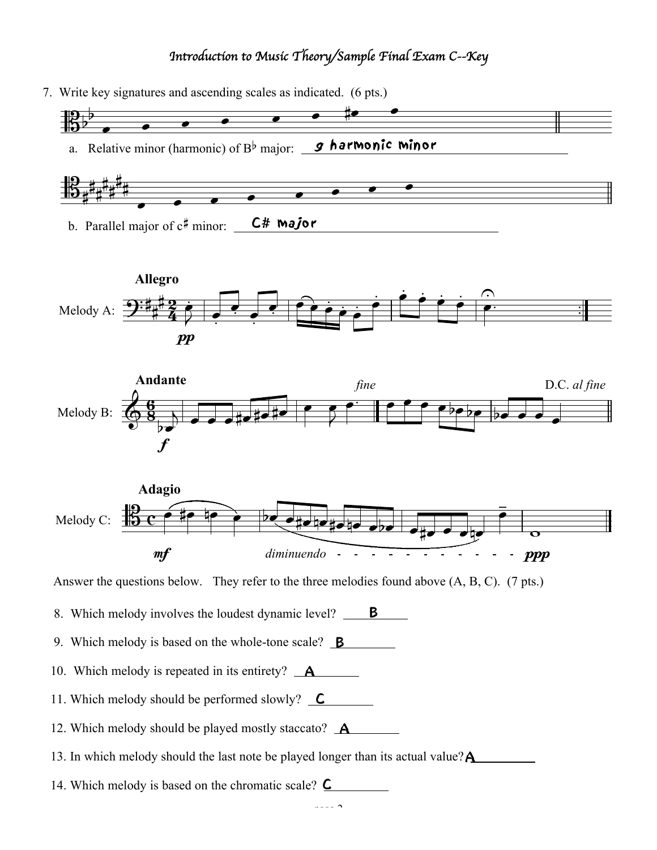## *Introduction to Music Theory/Sample Final Exam C--Key*

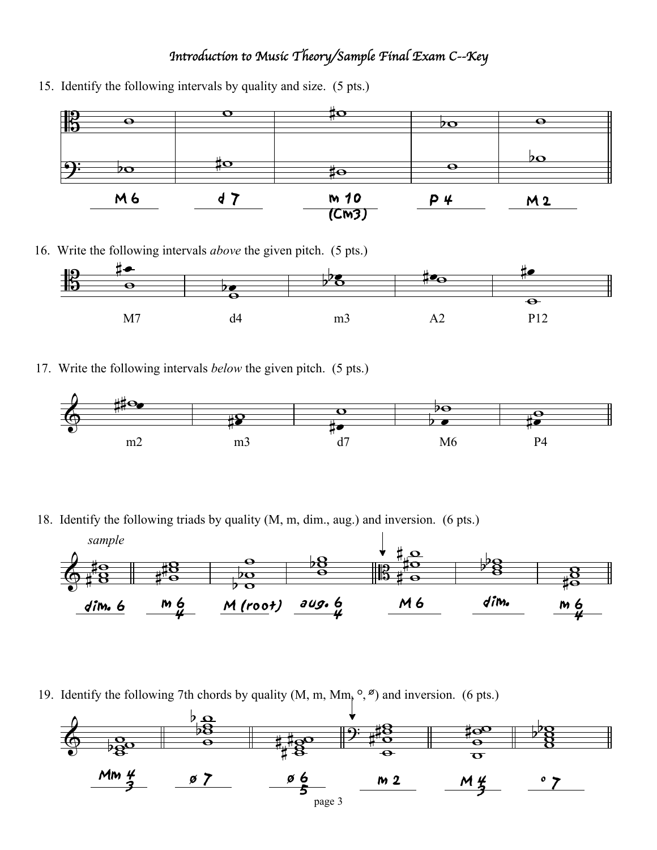## *Introduction to Music Theory/Sample Final Exam C--Key*



15. Identify the following intervals by quality and size. (5 pts.)

16. Write the following intervals *above* the given pitch. (5 pts.)



17. Write the following intervals *below* the given pitch. (5 pts.)



18. Identify the following triads by quality (M, m, dim., aug.) and inversion. (6 pts.)



19. Identify the following 7th chords by quality  $(M, m, Mm, \degree, \degree)$  and inversion. (6 pts.)